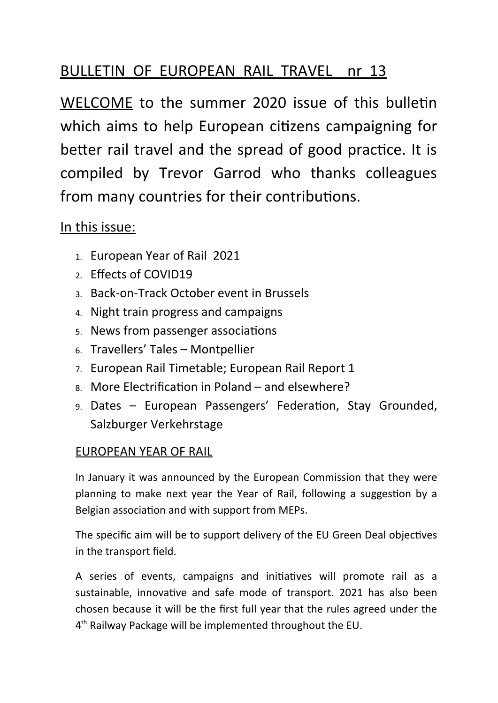# BULLETIN OF EUROPEAN RAIL TRAVEL nr 13

WELCOME to the summer 2020 issue of this bulletin which aims to help European citizens campaigning for better rail travel and the spread of good practice. It is compiled by Trevor Garrod who thanks colleagues from many countries for their contributions.

## In this issue:

- 1. European Year of Rail 2021
- 2. Effects of COVID19
- 3. Back-on-Track October event in Brussels
- 4. Night train progress and campaigns
- 5. News from passenger associations
- 6. Travellers' Tales Montpellier
- 7. European Rail Timetable; European Rail Report 1
- 8. More Electrification in Poland and elsewhere?
- 9. Dates European Passengers' Federation, Stay Grounded, Salzburger Verkehrstage

## EUROPEAN YEAR OF RAIL

In January it was announced by the European Commission that they were planning to make next year the Year of Rail, following a suggestion by a Belgian association and with support from MEPs.

The specific aim will be to support delivery of the EU Green Deal objectives in the transport field.

A series of events, campaigns and initiatives will promote rail as a sustainable, innovative and safe mode of transport. 2021 has also been chosen because it will be the first full year that the rules agreed under the 4<sup>th</sup> Railway Package will be implemented throughout the EU.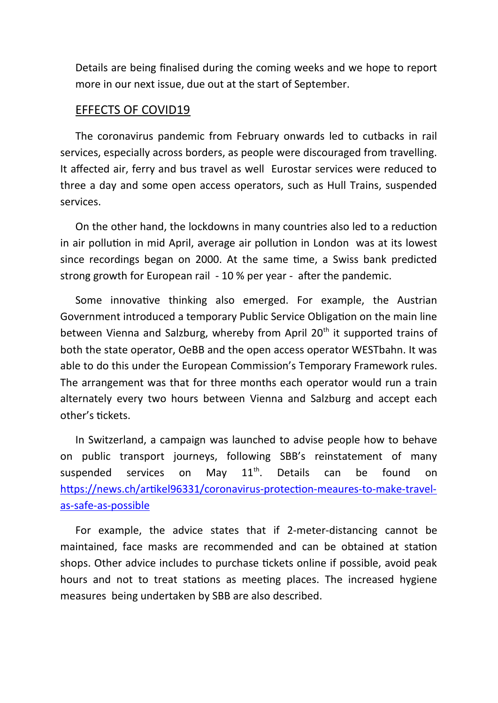Details are being finalised during the coming weeks and we hope to report more in our next issue, due out at the start of September.

#### EFFECTS OF COVID19

The coronavirus pandemic from February onwards led to cutbacks in rail services, especially across borders, as people were discouraged from travelling. It affected air, ferry and bus travel as well Eurostar services were reduced to three a day and some open access operators, such as Hull Trains, suspended services.

On the other hand, the lockdowns in many countries also led to a reduction in air pollution in mid April, average air pollution in London was at its lowest since recordings began on 2000. At the same time, a Swiss bank predicted strong growth for European rail - 10 % per year - after the pandemic.

Some innovative thinking also emerged. For example, the Austrian Government introduced a temporary Public Service Obligation on the main line between Vienna and Salzburg, whereby from April  $20<sup>th</sup>$  it supported trains of both the state operator, OeBB and the open access operator WESTbahn. It was able to do this under the European Commission's Temporary Framework rules. The arrangement was that for three months each operator would run a train alternately every two hours between Vienna and Salzburg and accept each other's tickets.

In Switzerland, a campaign was launched to advise people how to behave on public transport journeys, following SBB's reinstatement of many suspended services on May  $11^{\text{th}}$ . Details can be found on [https://news.ch/artikel96331/coronavirus-protection-meaures-to-make-travel](https://news.ch/artikel96331/coronavirus-protection-meaures-to-make-travel-as-safe-as-possible)[as-safe-as-possible](https://news.ch/artikel96331/coronavirus-protection-meaures-to-make-travel-as-safe-as-possible)

For example, the advice states that if 2-meter-distancing cannot be maintained, face masks are recommended and can be obtained at station shops. Other advice includes to purchase tickets online if possible, avoid peak hours and not to treat stations as meeting places. The increased hygiene measures being undertaken by SBB are also described.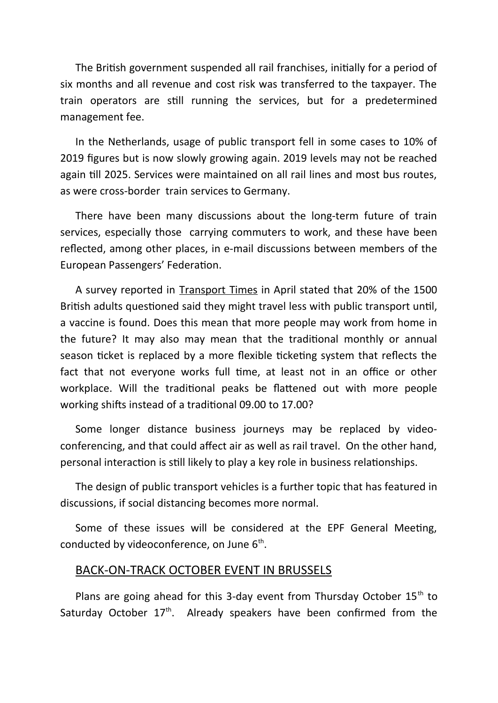The British government suspended all rail franchises, initially for a period of six months and all revenue and cost risk was transferred to the taxpayer. The train operators are still running the services, but for a predetermined management fee.

In the Netherlands, usage of public transport fell in some cases to 10% of 2019 figures but is now slowly growing again. 2019 levels may not be reached again till 2025. Services were maintained on all rail lines and most bus routes, as were cross-border train services to Germany.

There have been many discussions about the long-term future of train services, especially those carrying commuters to work, and these have been reflected, among other places, in e-mail discussions between members of the European Passengers' Federation.

A survey reported in Transport Times in April stated that 20% of the 1500 British adults questioned said they might travel less with public transport until, a vaccine is found. Does this mean that more people may work from home in the future? It may also may mean that the traditional monthly or annual season ticket is replaced by a more flexible ticketing system that reflects the fact that not everyone works full time, at least not in an office or other workplace. Will the traditional peaks be flattened out with more people working shifts instead of a traditional 09.00 to 17.00?

Some longer distance business journeys may be replaced by videoconferencing, and that could affect air as well as rail travel. On the other hand, personal interaction is still likely to play a key role in business relationships.

The design of public transport vehicles is a further topic that has featured in discussions, if social distancing becomes more normal.

Some of these issues will be considered at the EPF General Meeting, conducted by videoconference, on June 6<sup>th</sup>.

#### BACK-ON-TRACK OCTOBER EVENT IN BRUSSELS

Plans are going ahead for this 3-day event from Thursday October  $15<sup>th</sup>$  to Saturday October  $17<sup>th</sup>$ . Already speakers have been confirmed from the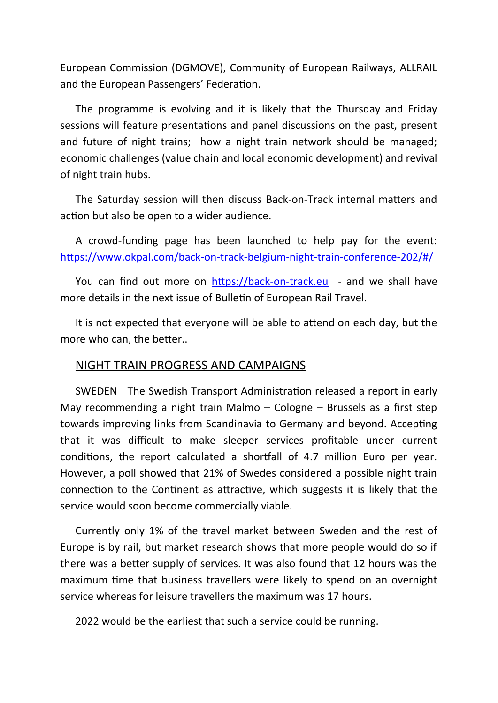European Commission (DGMOVE), Community of European Railways, ALLRAIL and the European Passengers' Federation.

The programme is evolving and it is likely that the Thursday and Friday sessions will feature presentations and panel discussions on the past, present and future of night trains; how a night train network should be managed; economic challenges (value chain and local economic development) and revival of night train hubs.

The Saturday session will then discuss Back-on-Track internal matters and action but also be open to a wider audience.

A crowd-funding page has been launched to help pay for the event: <https://www.okpal.com/back-on-track-belgium-night-train-conference-202/#/>

You can find out more on [https://back-on-track.eu](https://back-on-track.eu/) - and we shall have more details in the next issue of Bulletin of European Rail Travel.

It is not expected that everyone will be able to attend on each day, but the more who can, the better..

#### NIGHT TRAIN PROGRESS AND CAMPAIGNS

SWEDEN The Swedish Transport Administration released a report in early May recommending a night train Malmo – Cologne – Brussels as a first step towards improving links from Scandinavia to Germany and beyond. Accepting that it was difficult to make sleeper services profitable under current conditions, the report calculated a shortfall of 4.7 million Euro per year. However, a poll showed that 21% of Swedes considered a possible night train connection to the Continent as attractive, which suggests it is likely that the service would soon become commercially viable.

Currently only 1% of the travel market between Sweden and the rest of Europe is by rail, but market research shows that more people would do so if there was a better supply of services. It was also found that 12 hours was the maximum time that business travellers were likely to spend on an overnight service whereas for leisure travellers the maximum was 17 hours.

2022 would be the earliest that such a service could be running.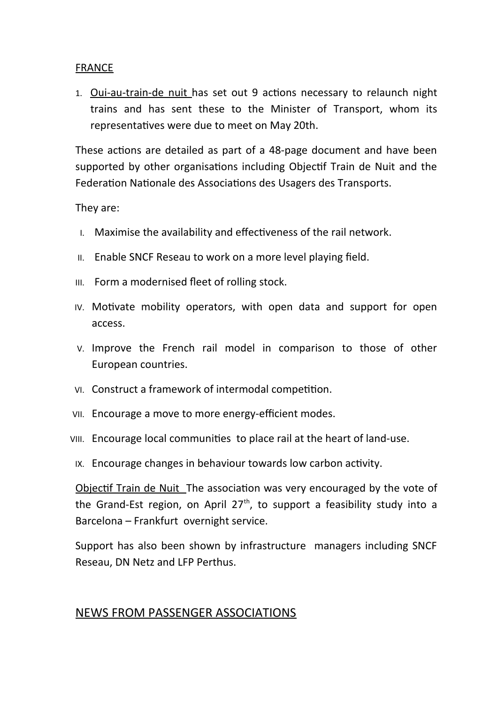#### FRANCE

1. Oui-au-train-de nuit has set out 9 actions necessary to relaunch night trains and has sent these to the Minister of Transport, whom its representatives were due to meet on May 20th.

These actions are detailed as part of a 48-page document and have been supported by other organisations including Objectif Train de Nuit and the Federation Nationale des Associations des Usagers des Transports.

They are:

- I. Maximise the availability and effectiveness of the rail network.
- II. Enable SNCF Reseau to work on a more level playing field.
- III. Form a modernised fleet of rolling stock.
- IV. Motivate mobility operators, with open data and support for open access.
- V. Improve the French rail model in comparison to those of other European countries.
- VI. Construct a framework of intermodal competition.
- VII. Encourage a move to more energy-efficient modes.
- VIII. Encourage local communities to place rail at the heart of land-use.
- IX. Encourage changes in behaviour towards low carbon activity.

Objectif Train de Nuit The association was very encouraged by the vote of the Grand-Est region, on April  $27<sup>th</sup>$ , to support a feasibility study into a Barcelona – Frankfurt overnight service.

Support has also been shown by infrastructure managers including SNCF Reseau, DN Netz and LFP Perthus.

### NEWS FROM PASSENGER ASSOCIATIONS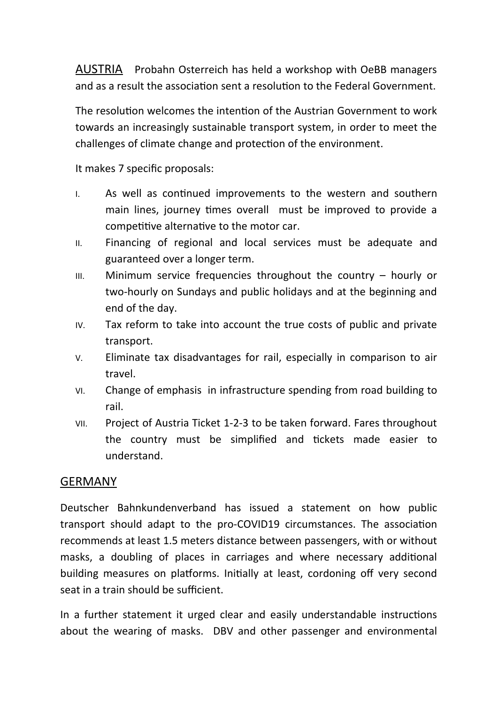AUSTRIA Probahn Osterreich has held a workshop with OeBB managers and as a result the association sent a resolution to the Federal Government.

The resolution welcomes the intention of the Austrian Government to work towards an increasingly sustainable transport system, in order to meet the challenges of climate change and protection of the environment.

It makes 7 specific proposals:

- I. As well as continued improvements to the western and southern main lines, journey times overall must be improved to provide a competitive alternative to the motor car.
- II. Financing of regional and local services must be adequate and guaranteed over a longer term.
- $III.$  Minimum service frequencies throughout the country  $-$  hourly or two-hourly on Sundays and public holidays and at the beginning and end of the day.
- IV. Tax reform to take into account the true costs of public and private transport.
- V. Eliminate tax disadvantages for rail, especially in comparison to air travel.
- VI. Change of emphasis in infrastructure spending from road building to rail.
- VII. Project of Austria Ticket 1-2-3 to be taken forward. Fares throughout the country must be simplified and tickets made easier to understand.

### **GERMANY**

Deutscher Bahnkundenverband has issued a statement on how public transport should adapt to the pro-COVID19 circumstances. The association recommends at least 1.5 meters distance between passengers, with or without masks, a doubling of places in carriages and where necessary additional building measures on platforms. Initially at least, cordoning off very second seat in a train should be sufficient.

In a further statement it urged clear and easily understandable instructions about the wearing of masks. DBV and other passenger and environmental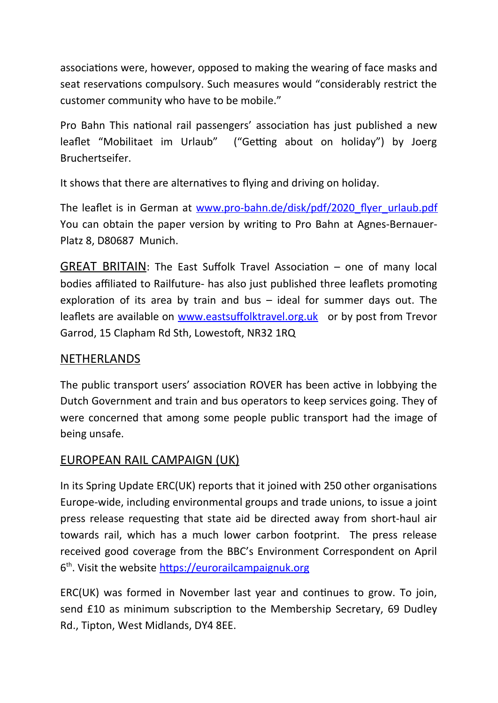associations were, however, opposed to making the wearing of face masks and seat reservations compulsory. Such measures would "considerably restrict the customer community who have to be mobile."

Pro Bahn This national rail passengers' association has just published a new leaflet "Mobilitaet im Urlaub" ("Getting about on holiday") by Joerg Bruchertseifer.

It shows that there are alternatives to flying and driving on holiday.

The leaflet is in German at www.pro-bahn.de/disk/pdf/2020 flyer urlaub.pdf You can obtain the paper version by writing to Pro Bahn at Agnes-Bernauer-Platz 8, D80687 Munich.

GREAT BRITAIN: The East Suffolk Travel Association – one of many local bodies affiliated to Railfuture- has also just published three leaflets promoting exploration of its area by train and bus – ideal for summer days out. The leaflets are available on [www.eastsuffolktravel.org.uk](http://www.eastsuffolktravel.org.uk/) or by post from Trevor Garrod, 15 Clapham Rd Sth, Lowestoft, NR32 1RQ

## NETHERLANDS

The public transport users' association ROVER has been active in lobbying the Dutch Government and train and bus operators to keep services going. They of were concerned that among some people public transport had the image of being unsafe.

## EUROPEAN RAIL CAMPAIGN (UK)

In its Spring Update ERC(UK) reports that it joined with 250 other organisations Europe-wide, including environmental groups and trade unions, to issue a joint press release requesting that state aid be directed away from short-haul air towards rail, which has a much lower carbon footprint. The press release received good coverage from the BBC's Environment Correspondent on April 6<sup>th</sup>. Visit the website [https://eurorailcampaignuk.org](https://eurorailcampaignuk.org/)

ERC(UK) was formed in November last year and continues to grow. To join, send £10 as minimum subscription to the Membership Secretary, 69 Dudley Rd., Tipton, West Midlands, DY4 8EE.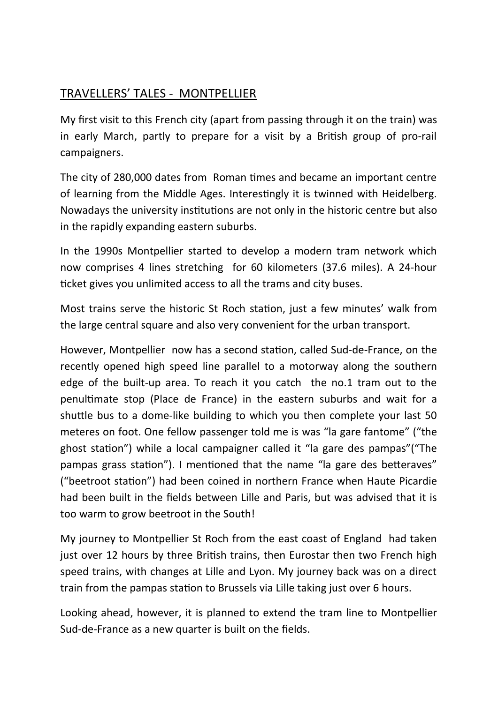## TRAVELLERS' TALES - MONTPELLIER

My first visit to this French city (apart from passing through it on the train) was in early March, partly to prepare for a visit by a British group of pro-rail campaigners.

The city of 280,000 dates from Roman times and became an important centre of learning from the Middle Ages. Interestingly it is twinned with Heidelberg. Nowadays the university institutions are not only in the historic centre but also in the rapidly expanding eastern suburbs.

In the 1990s Montpellier started to develop a modern tram network which now comprises 4 lines stretching for 60 kilometers (37.6 miles). A 24-hour ticket gives you unlimited access to all the trams and city buses.

Most trains serve the historic St Roch station, just a few minutes' walk from the large central square and also very convenient for the urban transport.

However, Montpellier now has a second station, called Sud-de-France, on the recently opened high speed line parallel to a motorway along the southern edge of the built-up area. To reach it you catch the no.1 tram out to the penultimate stop (Place de France) in the eastern suburbs and wait for a shuttle bus to a dome-like building to which you then complete your last 50 meteres on foot. One fellow passenger told me is was "la gare fantome" ("the ghost station") while a local campaigner called it "la gare des pampas"("The pampas grass station"). I mentioned that the name "la gare des betteraves" ("beetroot station") had been coined in northern France when Haute Picardie had been built in the fields between Lille and Paris, but was advised that it is too warm to grow beetroot in the South!

My journey to Montpellier St Roch from the east coast of England had taken just over 12 hours by three British trains, then Eurostar then two French high speed trains, with changes at Lille and Lyon. My journey back was on a direct train from the pampas station to Brussels via Lille taking just over 6 hours.

Looking ahead, however, it is planned to extend the tram line to Montpellier Sud-de-France as a new quarter is built on the fields.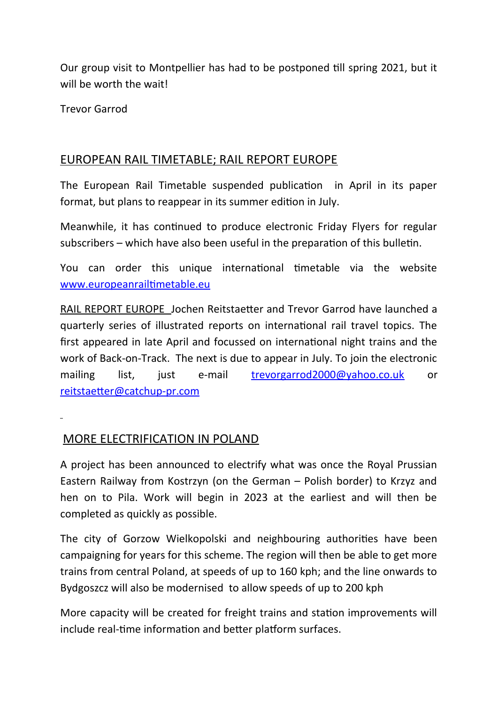Our group visit to Montpellier has had to be postponed till spring 2021, but it will be worth the wait!

Trevor Garrod

### EUROPEAN RAIL TIMETABLE; RAIL REPORT EUROPE

The European Rail Timetable suspended publication in April in its paper format, but plans to reappear in its summer edition in July.

Meanwhile, it has continued to produce electronic Friday Flyers for regular subscribers – which have also been useful in the preparation of this bulletin.

You can order this unique international timetable via the website [www.europeanrailtimetable.eu](http://www.europeanrailtimetable.eu/)

RAIL REPORT EUROPE Jochen Reitstaetter and Trevor Garrod have launched a quarterly series of illustrated reports on international rail travel topics. The first appeared in late April and focussed on international night trains and the work of Back-on-Track. The next is due to appear in July. To join the electronic mailing list, just e-mail [trevorgarrod2000@yahoo.co.uk](mailto:trevorgarrod2000@yahoo.co.uk) or [reitstaetter@catchup-pr.com](mailto:reitstaetter@catchup-pr.com) 

## MORE ELECTRIFICATION IN POLAND

A project has been announced to electrify what was once the Royal Prussian Eastern Railway from Kostrzyn (on the German – Polish border) to Krzyz and hen on to Pila. Work will begin in 2023 at the earliest and will then be completed as quickly as possible.

The city of Gorzow Wielkopolski and neighbouring authorities have been campaigning for years for this scheme. The region will then be able to get more trains from central Poland, at speeds of up to 160 kph; and the line onwards to Bydgoszcz will also be modernised to allow speeds of up to 200 kph

More capacity will be created for freight trains and station improvements will include real-time information and better platform surfaces.